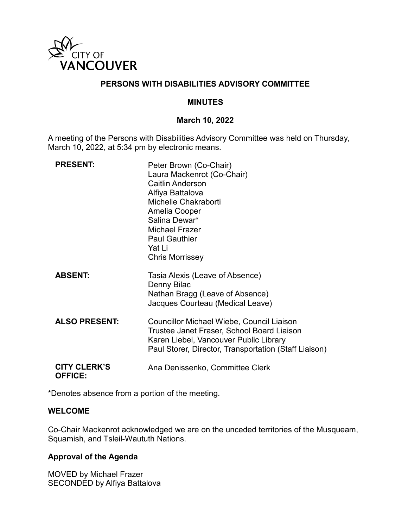

### **PERSONS WITH DISABILITIES ADVISORY COMMITTEE**

### **MINUTES**

### **March 10, 2022**

A meeting of the Persons with Disabilities Advisory Committee was held on Thursday, March 10, 2022, at 5:34 pm by electronic means.

| <b>PRESENT:</b>                       | Peter Brown (Co-Chair)<br>Laura Mackenrot (Co-Chair)<br><b>Caitlin Anderson</b><br>Alfiya Battalova<br>Michelle Chakraborti<br>Amelia Cooper<br>Salina Dewar*<br><b>Michael Frazer</b><br><b>Paul Gauthier</b><br>Yat Li<br><b>Chris Morrissey</b> |
|---------------------------------------|----------------------------------------------------------------------------------------------------------------------------------------------------------------------------------------------------------------------------------------------------|
| <b>ABSENT:</b>                        | Tasia Alexis (Leave of Absence)<br>Denny Bilac<br>Nathan Bragg (Leave of Absence)<br>Jacques Courteau (Medical Leave)                                                                                                                              |
| <b>ALSO PRESENT:</b>                  | <b>Councillor Michael Wiebe, Council Liaison</b><br>Trustee Janet Fraser, School Board Liaison<br>Karen Liebel, Vancouver Public Library<br>Paul Storer, Director, Transportation (Staff Liaison)                                                  |
| <b>CITY CLERK'S</b><br><b>OFFICE:</b> | Ana Denissenko, Committee Clerk                                                                                                                                                                                                                    |

\*Denotes absence from a portion of the meeting.

### **WELCOME**

Co-Chair Mackenrot acknowledged we are on the unceded territories of the Musqueam, Squamish, and Tsleil-Waututh Nations.

### **Approval of the Agenda**

MOVED by Michael Frazer SECONDED by Alfiya Battalova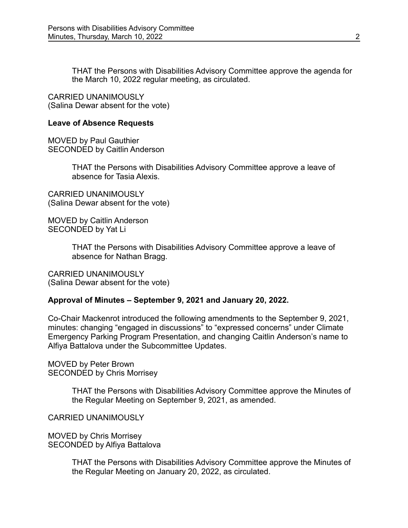THAT the Persons with Disabilities Advisory Committee approve the agenda for the March 10, 2022 regular meeting, as circulated.

CARRIED UNANIMOUSLY (Salina Dewar absent for the vote)

#### **Leave of Absence Requests**

MOVED by Paul Gauthier SECONDED by Caitlin Anderson

> THAT the Persons with Disabilities Advisory Committee approve a leave of absence for Tasia Alexis.

CARRIED UNANIMOUSLY (Salina Dewar absent for the vote)

MOVED by Caitlin Anderson SECONDED by Yat Li

> THAT the Persons with Disabilities Advisory Committee approve a leave of absence for Nathan Bragg.

CARRIED UNANIMOUSLY (Salina Dewar absent for the vote)

### **Approval of Minutes – September 9, 2021 and January 20, 2022.**

Co-Chair Mackenrot introduced the following amendments to the September 9, 2021, minutes: changing "engaged in discussions" to "expressed concerns" under Climate Emergency Parking Program Presentation, and changing Caitlin Anderson's name to Alfiya Battalova under the Subcommittee Updates.

MOVED by Peter Brown SECONDED by Chris Morrisey

> THAT the Persons with Disabilities Advisory Committee approve the Minutes of the Regular Meeting on September 9, 2021, as amended.

CARRIED UNANIMOUSLY

MOVED by Chris Morrisey SECONDED by Alfiya Battalova

> THAT the Persons with Disabilities Advisory Committee approve the Minutes of the Regular Meeting on January 20, 2022, as circulated.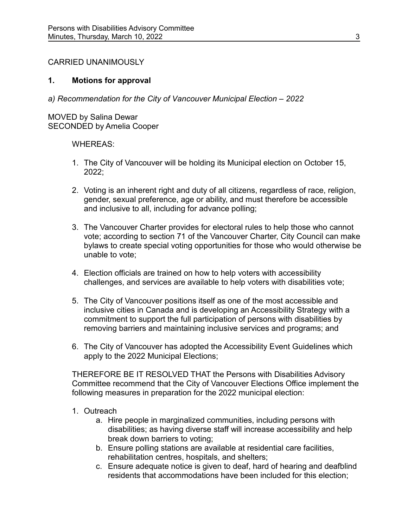### CARRIED UNANIMOUSLY

### **1. Motions for approval**

*a) Recommendation for the City of Vancouver Municipal Election – 2022*

MOVED by Salina Dewar SECONDED by Amelia Cooper

### WHEREAS:

- 1. The City of Vancouver will be holding its Municipal election on October 15, 2022;
- 2. Voting is an inherent right and duty of all citizens, regardless of race, religion, gender, sexual preference, age or ability, and must therefore be accessible and inclusive to all, including for advance polling;
- 3. The Vancouver Charter provides for electoral rules to help those who cannot vote; according to section 71 of the Vancouver Charter, City Council can make bylaws to create special voting opportunities for those who would otherwise be unable to vote;
- 4. Election officials are trained on how to help voters with accessibility challenges, and services are available to help voters with disabilities vote;
- 5. The City of Vancouver positions itself as one of the most accessible and inclusive cities in Canada and is developing an Accessibility Strategy with a commitment to support the full participation of persons with disabilities by removing barriers and maintaining inclusive services and programs; and
- 6. The City of Vancouver has adopted the Accessibility Event Guidelines which apply to the 2022 Municipal Elections;

THEREFORE BE IT RESOLVED THAT the Persons with Disabilities Advisory Committee recommend that the City of Vancouver Elections Office implement the following measures in preparation for the 2022 municipal election:

### 1. Outreach

- a. Hire people in marginalized communities, including persons with disabilities; as having diverse staff will increase accessibility and help break down barriers to voting;
- b. Ensure polling stations are available at residential care facilities, rehabilitation centres, hospitals, and shelters;
- c. Ensure adequate notice is given to deaf, hard of hearing and deafblind residents that accommodations have been included for this election;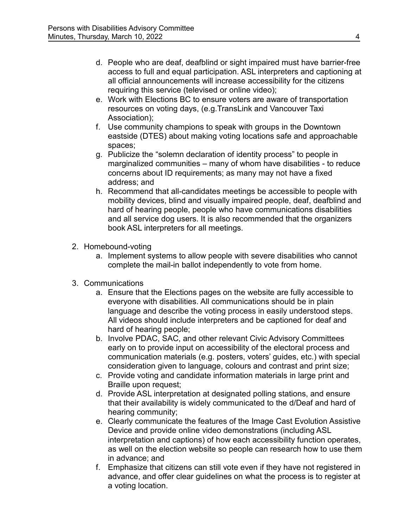- d. People who are deaf, deafblind or sight impaired must have barrier-free access to full and equal participation. ASL interpreters and captioning at all official announcements will increase accessibility for the citizens requiring this service (televised or online video);
- e. Work with Elections BC to ensure voters are aware of transportation resources on voting days, (e.g.TransLink and Vancouver Taxi Association);
- f. Use community champions to speak with groups in the Downtown eastside (DTES) about making voting locations safe and approachable spaces;
- g. Publicize the "solemn declaration of identity process" to people in marginalized communities – many of whom have disabilities - to reduce concerns about ID requirements; as many may not have a fixed address; and
- h. Recommend that all-candidates meetings be accessible to people with mobility devices, blind and visually impaired people, deaf, deafblind and hard of hearing people, people who have communications disabilities and all service dog users. It is also recommended that the organizers book ASL interpreters for all meetings.
- 2. Homebound-voting
	- a. Implement systems to allow people with severe disabilities who cannot complete the mail-in ballot independently to vote from home.
- 3. Communications
	- a. Ensure that the Elections pages on the website are fully accessible to everyone with disabilities. All communications should be in plain language and describe the voting process in easily understood steps. All videos should include interpreters and be captioned for deaf and hard of hearing people;
	- b. Involve PDAC, SAC, and other relevant Civic Advisory Committees early on to provide input on accessibility of the electoral process and communication materials (e.g. posters, voters' guides, etc.) with special consideration given to language, colours and contrast and print size;
	- c. Provide voting and candidate information materials in large print and Braille upon request;
	- d. Provide ASL interpretation at designated polling stations, and ensure that their availability is widely communicated to the d/Deaf and hard of hearing community;
	- e. Clearly communicate the features of the Image Cast Evolution Assistive Device and provide online video demonstrations (including ASL interpretation and captions) of how each accessibility function operates, as well on the election website so people can research how to use them in advance; and
	- f. Emphasize that citizens can still vote even if they have not registered in advance, and offer clear guidelines on what the process is to register at a voting location.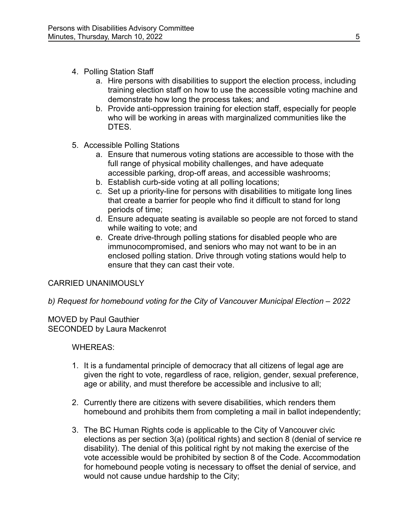- 4. Polling Station Staff
	- a. Hire persons with disabilities to support the election process, including training election staff on how to use the accessible voting machine and demonstrate how long the process takes; and
	- b. Provide anti-oppression training for election staff, especially for people who will be working in areas with marginalized communities like the DTES.
- 5. Accessible Polling Stations
	- a. Ensure that numerous voting stations are accessible to those with the full range of physical mobility challenges, and have adequate accessible parking, drop-off areas, and accessible washrooms;
	- b. Establish curb-side voting at all polling locations;
	- c. Set up a priority-line for persons with disabilities to mitigate long lines that create a barrier for people who find it difficult to stand for long periods of time;
	- d. Ensure adequate seating is available so people are not forced to stand while waiting to vote; and
	- e. Create drive-through polling stations for disabled people who are immunocompromised, and seniors who may not want to be in an enclosed polling station. Drive through voting stations would help to ensure that they can cast their vote.

## CARRIED UNANIMOUSLY

*b) Request for homebound voting for the City of Vancouver Municipal Election – 2022*

MOVED by Paul Gauthier SECONDED by Laura Mackenrot

## WHEREAS:

- 1. It is a fundamental principle of democracy that all citizens of legal age are given the right to vote, regardless of race, religion, gender, sexual preference, age or ability, and must therefore be accessible and inclusive to all;
- 2. Currently there are citizens with severe disabilities, which renders them homebound and prohibits them from completing a mail in ballot independently;
- 3. The BC Human Rights code is applicable to the City of Vancouver civic elections as per section 3(a) (political rights) and section 8 (denial of service re disability). The denial of this political right by not making the exercise of the vote accessible would be prohibited by section 8 of the Code. Accommodation for homebound people voting is necessary to offset the denial of service, and would not cause undue hardship to the City;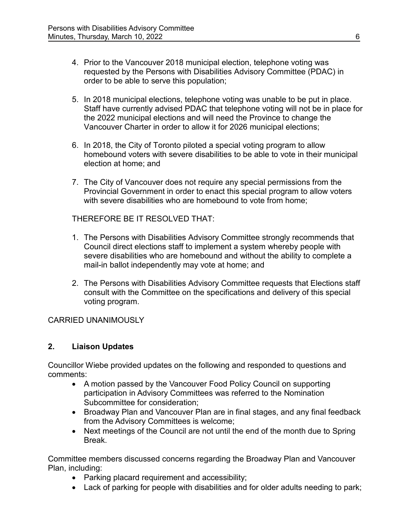- 4. Prior to the Vancouver 2018 municipal election, telephone voting was requested by the Persons with Disabilities Advisory Committee (PDAC) in order to be able to serve this population;
- 5. In 2018 municipal elections, telephone voting was unable to be put in place. Staff have currently advised PDAC that telephone voting will not be in place for the 2022 municipal elections and will need the Province to change the Vancouver Charter in order to allow it for 2026 municipal elections;
- 6. In 2018, the City of Toronto piloted a special voting program to allow homebound voters with severe disabilities to be able to vote in their municipal election at home; and
- 7. The City of Vancouver does not require any special permissions from the Provincial Government in order to enact this special program to allow voters with severe disabilities who are homebound to vote from home;

THEREFORE BE IT RESOLVED THAT:

- 1. The Persons with Disabilities Advisory Committee strongly recommends that Council direct elections staff to implement a system whereby people with severe disabilities who are homebound and without the ability to complete a mail-in ballot independently may vote at home; and
- 2. The Persons with Disabilities Advisory Committee requests that Elections staff consult with the Committee on the specifications and delivery of this special voting program.

### CARRIED UNANIMOUSLY

### **2. Liaison Updates**

Councillor Wiebe provided updates on the following and responded to questions and comments:

- A motion passed by the Vancouver Food Policy Council on supporting participation in Advisory Committees was referred to the Nomination Subcommittee for consideration;
- Broadway Plan and Vancouver Plan are in final stages, and any final feedback from the Advisory Committees is welcome;
- Next meetings of the Council are not until the end of the month due to Spring Break.

Committee members discussed concerns regarding the Broadway Plan and Vancouver Plan, including:

- Parking placard requirement and accessibility;
- Lack of parking for people with disabilities and for older adults needing to park;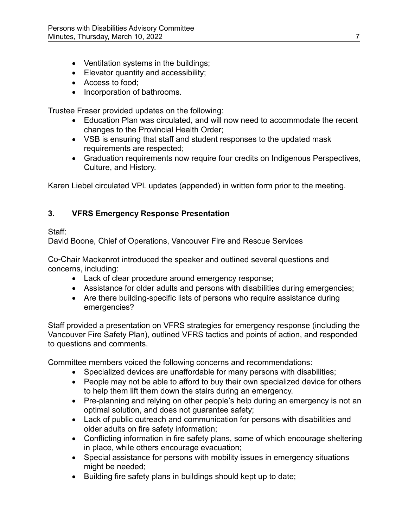- Ventilation systems in the buildings;
- Elevator quantity and accessibility;
- Access to food;
- Incorporation of bathrooms.

Trustee Fraser provided updates on the following:

- Education Plan was circulated, and will now need to accommodate the recent changes to the Provincial Health Order;
- VSB is ensuring that staff and student responses to the updated mask requirements are respected;
- Graduation requirements now require four credits on Indigenous Perspectives, Culture, and History.

Karen Liebel circulated VPL updates (appended) in written form prior to the meeting.

# **3. VFRS Emergency Response Presentation**

## Staff:

David Boone, Chief of Operations, Vancouver Fire and Rescue Services

Co-Chair Mackenrot introduced the speaker and outlined several questions and concerns, including:

- Lack of clear procedure around emergency response;
- Assistance for older adults and persons with disabilities during emergencies;
- Are there building-specific lists of persons who require assistance during emergencies?

Staff provided a presentation on VFRS strategies for emergency response (including the Vancouver Fire Safety Plan), outlined VFRS tactics and points of action, and responded to questions and comments.

Committee members voiced the following concerns and recommendations:

- Specialized devices are unaffordable for many persons with disabilities;
- People may not be able to afford to buy their own specialized device for others to help them lift them down the stairs during an emergency.
- Pre-planning and relying on other people's help during an emergency is not an optimal solution, and does not guarantee safety;
- Lack of public outreach and communication for persons with disabilities and older adults on fire safety information;
- Conflicting information in fire safety plans, some of which encourage sheltering in place, while others encourage evacuation;
- Special assistance for persons with mobility issues in emergency situations might be needed;
- Building fire safety plans in buildings should kept up to date;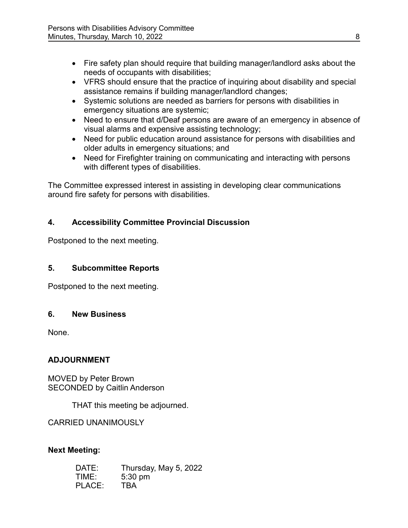- Fire safety plan should require that building manager/landlord asks about the needs of occupants with disabilities;
- VFRS should ensure that the practice of inquiring about disability and special assistance remains if building manager/landlord changes;
- Systemic solutions are needed as barriers for persons with disabilities in emergency situations are systemic;
- Need to ensure that d/Deaf persons are aware of an emergency in absence of visual alarms and expensive assisting technology;
- Need for public education around assistance for persons with disabilities and older adults in emergency situations; and
- Need for Firefighter training on communicating and interacting with persons with different types of disabilities.

The Committee expressed interest in assisting in developing clear communications around fire safety for persons with disabilities.

# **4. Accessibility Committee Provincial Discussion**

Postponed to the next meeting.

## **5. Subcommittee Reports**

Postponed to the next meeting.

## **6. New Business**

None.

## **ADJOURNMENT**

MOVED by Peter Brown SECONDED by Caitlin Anderson

THAT this meeting be adjourned.

CARRIED UNANIMOUSLY

## **Next Meeting:**

| DATE:  | Thursday, May 5, 2022 |
|--------|-----------------------|
| TIME:  | $5:30$ pm             |
| PLACE: | <b>TBA</b>            |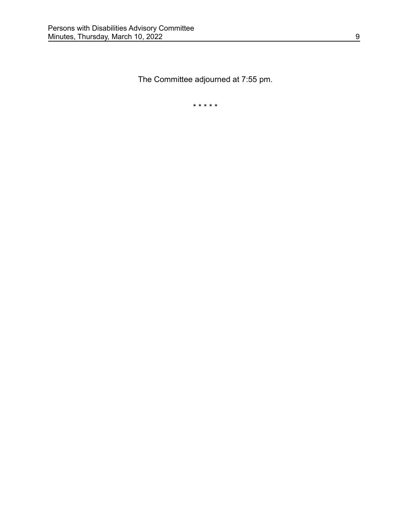The Committee adjourned at 7:55 pm.

\* \* \* \* \*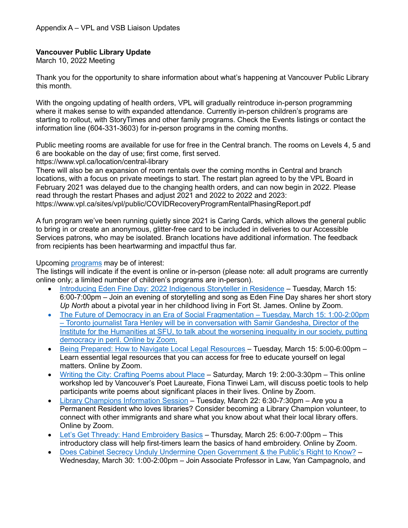## **Vancouver Public Library Update**

March 10, 2022 Meeting

Thank you for the opportunity to share information about what's happening at Vancouver Public Library this month.

With the ongoing updating of health orders, VPL will gradually reintroduce in-person programming where it makes sense to with expanded attendance. Currently in-person children's programs are starting to rollout, with StoryTimes and other family programs. Check the Events listings or contact the information line (604-331-3603) for in-person programs in the coming months.

Public meeting rooms are available for use for free in the Central branch. The rooms on Levels 4, 5 and 6 are bookable on the day of use; first come, first served.

https://www.vpl.ca/location/central-library

There will also be an expansion of room rentals over the coming months in Central and branch locations, with a focus on private meetings to start. The restart plan agreed to by the VPL Board in February 2021 was delayed due to the changing health orders, and can now begin in 2022. Please read through the restart Phases and adjust 2021 and 2022 to 2022 and 2023: https://www.vpl.ca/sites/vpl/public/COVIDRecoveryProgramRentalPhasingReport.pdf

A fun program we've been running quietly since 2021 is Caring Cards, which allows the general public to bring in or create an anonymous, glitter-free card to be included in deliveries to our Accessible Services patrons, who may be isolated. Branch locations have additional information. The feedback from recipients has been heartwarming and impactful thus far.

#### Upcoming [programs](https://vpl.bibliocommons.com/events/search/index) may be of interest:

The listings will indicate if the event is online or in-person (please note: all adult programs are currently online only; a limited number of children's programs are in-person).

- [Introducing Eden Fine Day: 2022 Indigenous Storyteller in Residence](https://vpl.bibliocommons.com/events/621599dca2e4602f0036b60b)  Tuesday, March 15: 6:00-7:00pm – Join an evening of storytelling and song as Eden Fine Day shares her short story *Up North* about a pivotal year in her childhood living in Fort St. James. Online by Zoom.
- [The Future of Democracy in an Era of Social Fragmentation](https://vpl.bibliocommons.com/events/6217c4310876ee3600f49127)  Tuesday, March 15: 1:00-2:00pm – Toronto journalist Tara Henley will be in conversation with Samir Gandesha, Director of the Institute for the Humanities at SFU, to talk about the worsening inequality in our society, putting democracy in peril. Online by Zoom.
- [Being Prepared: How to Navigate Local Legal Resources](https://vpl.bibliocommons.com/events/search/fq=audiences:(53c940484246f6147c000013)/event/61d4fe155afabb28001c3da5)  Tuesday, March 15: 5:00-6:00pm Learn essential legal resources that you can access for free to educate yourself on legal matters. Online by Zoom.
- [Writing the City: Crafting Poems about Place](https://vpl.bibliocommons.com/events/620e96f570553b36007ed85d)  Saturday, March 19: 2:00-3:30pm This online workshop led by Vancouver's Poet Laureate, Fiona Tinwei Lam, will discuss poetic tools to help participants write poems about significant places in their lives. Online by Zoom.
- [Library Champions Information Session](https://vpl.bibliocommons.com/events/search/fq=audiences:(53c940484246f6147c000012)/event/62104182db5f1636000b5f90)  Tuesday, March 22: 6:30-7:30pm Are you a Permanent Resident who loves libraries? Consider becoming a Library Champion volunteer, to connect with other immigrants and share what you know about what their local library offers. Online by Zoom.
- [Let's Get Thready: Hand Embroidery Basics](https://vpl.bibliocommons.com/events/search/index/event/6205546aadc4372800c3c337)  Thursday, March 25: 6:00-7:00pm This introductory class will help first-timers learn the basics of hand embroidery. Online by Zoom.
- [Does Cabinet Secrecy Unduly Undermine Open Government & the Public's Right to Know?](https://vpl.bibliocommons.com/events/61f9c7b37209b52f00317190)  Wednesday, March 30: 1:00-2:00pm – Join Associate Professor in Law, Yan Campagnolo, and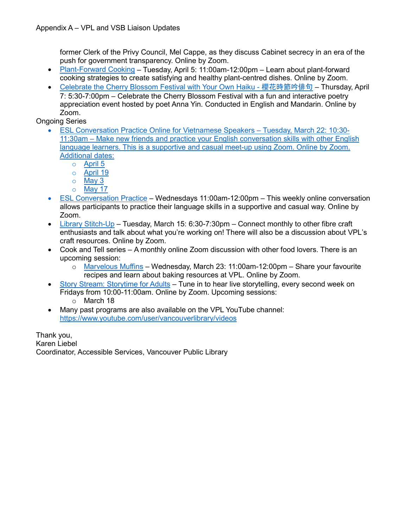former Clerk of the Privy Council, Mel Cappe, as they discuss Cabinet secrecy in an era of the push for government transparency. Online by Zoom.

- [Plant-Forward Cooking](https://vpl.bibliocommons.com/events/621e7f25727d133600a705dd)  Tuesday, April 5: 11:00am-12:00pm Learn about plant-forward cooking strategies to create satisfying and healthy plant-centred dishes. Online by Zoom.
- [Celebrate the Cherry Blossom Festival with Your Own Haiku](https://vpl.bibliocommons.com/events/62159968a2e4602f0036b608) 櫻花時節吟俳句 Thursday, April 7: 5:30-7:00pm – Celebrate the Cherry Blossom Festival with a fun and interactive poetry appreciation event hosted by poet Anna Yin. Conducted in English and Mandarin. Online by Zoom.

Ongoing Series

- [ESL Conversation Practice Online for Vietnamese Speakers](https://vpl.bibliocommons.com/events/search/fq=audiences:(53c940484246f6147c000013)/event/61e42d42bd571d4100c7f373)  Tuesday, March 22: 10:30- 11:30am – Make new friends and practice your English conversation skills with other English language learners. This is a supportive and casual meet-up using Zoom. Online by Zoom. Additional dates:
	- o April 5
	- o April 19
	- o May 3
	- o May 17
- [ESL Conversation Practice](https://vpl.bibliocommons.com/events/search/fq=audiences:(53c940484246f6147c000012)/event/61b920f933f5d02800a2edf3)  Wednesdays 11:00am-12:00pm This weekly online conversation allows participants to practice their language skills in a supportive and casual way. Online by Zoom.
- [Library Stitch-Up](https://vpl.bibliocommons.com/events/search/fq=audiences:(53c940484246f6147c000013)/event/61b3f3612268d34100c045c1)  Tuesday, March 15: 6:30-7:30pm Connect monthly to other fibre craft enthusiasts and talk about what you're working on! There will also be a discussion about VPL's craft resources. Online by Zoom.
- Cook and Tell series A monthly online Zoom discussion with other food lovers. There is an upcoming session:
	- o [Marvelous Muffins](https://vpl.bibliocommons.com/events/61b3f01d0466862f0000dd9c)  Wednesday, March 23: 11:00am-12:00pm Share your favourite recipes and learn about baking resources at VPL. Online by Zoom.
- [Story Stream: Storytime for Adults](https://vpl.bibliocommons.com/events/61b3e0732268d34100c043af)  Tune in to hear live storytelling, every second week on Fridays from 10:00-11:00am. Online by Zoom. Upcoming sessions:
	- o March 18
- Many past programs are also available on the VPL YouTube channel: <https://www.youtube.com/user/vancouverlibrary/videos>

Thank you, Karen Liebel Coordinator, Accessible Services, Vancouver Public Library